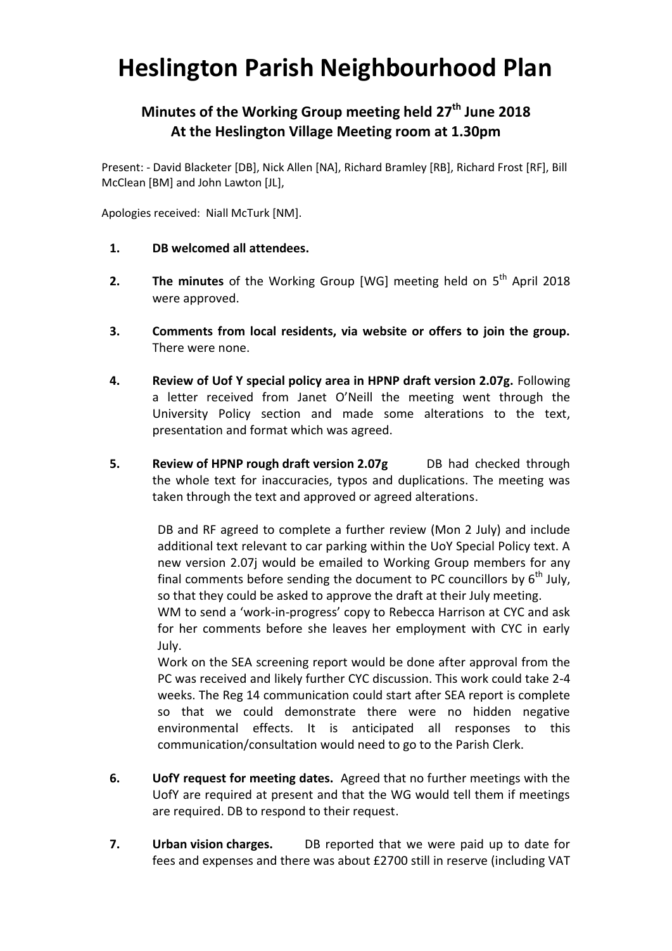## **Heslington Parish Neighbourhood Plan**

## **Minutes of the Working Group meeting held 27th June 2018 At the Heslington Village Meeting room at 1.30pm**

Present: - David Blacketer [DB], Nick Allen [NA], Richard Bramley [RB], Richard Frost [RF], Bill McClean [BM] and John Lawton [JL],

Apologies received: Niall McTurk [NM].

- **1. DB welcomed all attendees.**
- **2.** The minutes of the Working Group [WG] meeting held on 5<sup>th</sup> April 2018 were approved.
- **3. Comments from local residents, via website or offers to join the group.**  There were none.
- **4. Review of Uof Y special policy area in HPNP draft version 2.07g.** Following a letter received from Janet O'Neill the meeting went through the University Policy section and made some alterations to the text, presentation and format which was agreed.
- **5. Review of HPNP rough draft version 2.07g** DB had checked through the whole text for inaccuracies, typos and duplications. The meeting was taken through the text and approved or agreed alterations.

DB and RF agreed to complete a further review (Mon 2 July) and include additional text relevant to car parking within the UoY Special Policy text. A new version 2.07j would be emailed to Working Group members for any final comments before sending the document to PC councillors by  $6<sup>th</sup>$  July, so that they could be asked to approve the draft at their July meeting.

WM to send a 'work-in-progress' copy to Rebecca Harrison at CYC and ask for her comments before she leaves her employment with CYC in early July.

Work on the SEA screening report would be done after approval from the PC was received and likely further CYC discussion. This work could take 2-4 weeks. The Reg 14 communication could start after SEA report is complete so that we could demonstrate there were no hidden negative environmental effects. It is anticipated all responses to this communication/consultation would need to go to the Parish Clerk.

- **6. UofY request for meeting dates.** Agreed that no further meetings with the UofY are required at present and that the WG would tell them if meetings are required. DB to respond to their request.
- **7. Urban vision charges.** DB reported that we were paid up to date for fees and expenses and there was about £2700 still in reserve (including VAT